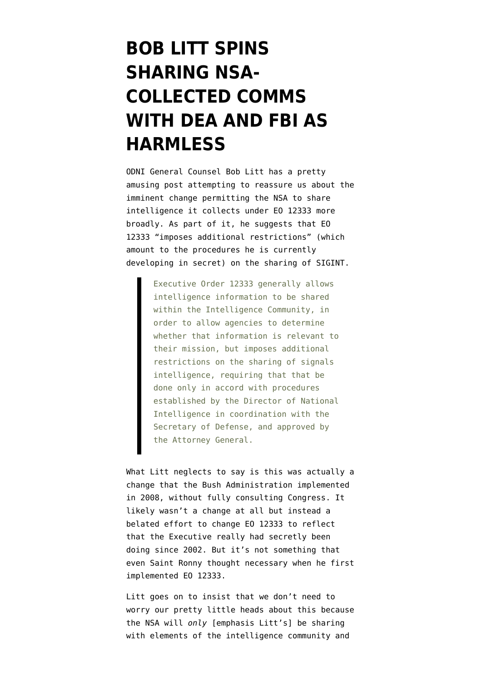## **[BOB LITT SPINS](https://www.emptywheel.net/2016/03/30/bob-litt-spins-sharing-nsa-collected-comms-with-dea-and-fbi-as-harmless/) [SHARING NSA-](https://www.emptywheel.net/2016/03/30/bob-litt-spins-sharing-nsa-collected-comms-with-dea-and-fbi-as-harmless/)[COLLECTED COMMS](https://www.emptywheel.net/2016/03/30/bob-litt-spins-sharing-nsa-collected-comms-with-dea-and-fbi-as-harmless/) [WITH DEA AND FBI AS](https://www.emptywheel.net/2016/03/30/bob-litt-spins-sharing-nsa-collected-comms-with-dea-and-fbi-as-harmless/) [HARMLESS](https://www.emptywheel.net/2016/03/30/bob-litt-spins-sharing-nsa-collected-comms-with-dea-and-fbi-as-harmless/)**

ODNI General Counsel Bob Litt has a [pretty](https://www.justsecurity.org/30327/intelligence-sharing-procedures-not-law-enforcement/) [amusing post](https://www.justsecurity.org/30327/intelligence-sharing-procedures-not-law-enforcement/) attempting to reassure us about the [imminent change](https://www.emptywheel.net/2016/03/24/on-the-coming-showdown-over-promiscuous-sharing-of-eo-12333-data/) permitting the NSA to share intelligence it collects under EO 12333 more broadly. As part of it, he suggests that EO 12333 "imposes additional restrictions" (which amount to the procedures he is currently developing in secret) on the sharing of SIGINT.

> Executive Order 12333 generally allows intelligence information to be shared within the Intelligence Community, in order to allow agencies to determine whether that information is relevant to their mission, but imposes additional restrictions on the sharing of signals intelligence, requiring that that be done only in accord with procedures established by the Director of National Intelligence in coordination with the Secretary of Defense, and approved by the Attorney General.

What Litt neglects to say is this was actually a change that the Bush Administration implemented in 2008, [without fully consulting Congress](https://www.emptywheel.net/2014/02/28/2008s-new-and-improved-eo-12333-sharing-sigint/). It likely wasn't a change at all but instead a belated effort to change EO 12333 to reflect that the Executive really had secretly been doing since 2002. But it's not something that even Saint Ronny thought necessary when he first implemented EO 12333.

Litt goes on to insist that we don't need to worry our pretty little heads about this because the NSA will *only* [emphasis Litt's] be sharing with elements of the intelligence community and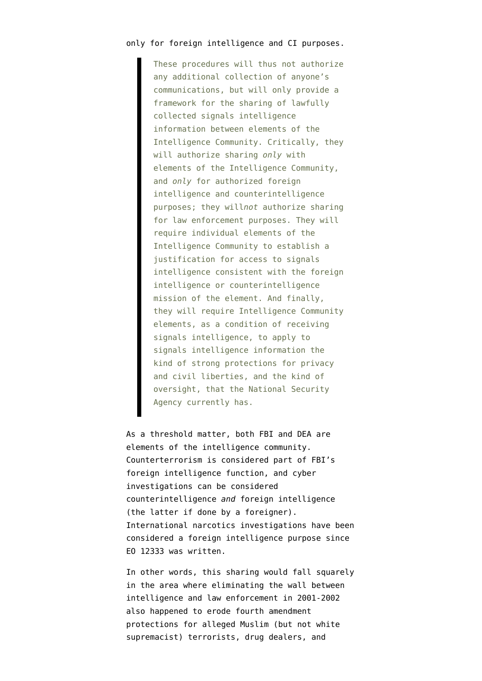## only for foreign intelligence and CI purposes.

These procedures will thus not authorize any additional collection of anyone's communications, but will only provide a framework for the sharing of lawfully collected signals intelligence information between elements of the Intelligence Community. Critically, they will authorize sharing *only* with elements of the Intelligence Community, and *only* for authorized foreign intelligence and counterintelligence purposes; they will*not* authorize sharing for law enforcement purposes. They will require individual elements of the Intelligence Community to establish a justification for access to signals intelligence consistent with the foreign intelligence or counterintelligence mission of the element. And finally, they will require Intelligence Community elements, as a condition of receiving signals intelligence, to apply to signals intelligence information the kind of strong protections for privacy and civil liberties, and the kind of oversight, that the National Security Agency currently has.

As a threshold matter, both FBI and DEA are elements of the intelligence community. Counterterrorism is considered part of FBI's foreign intelligence function, and cyber investigations can be considered counterintelligence *and* foreign intelligence (the latter if done by a foreigner). International narcotics investigations have been considered a foreign intelligence purpose since EO 12333 was written.

In other words, this sharing would fall squarely in the area where eliminating the wall between intelligence and law enforcement in 2001-2002 also happened to erode fourth amendment protections for alleged Muslim (but not white supremacist) terrorists, drug dealers, and